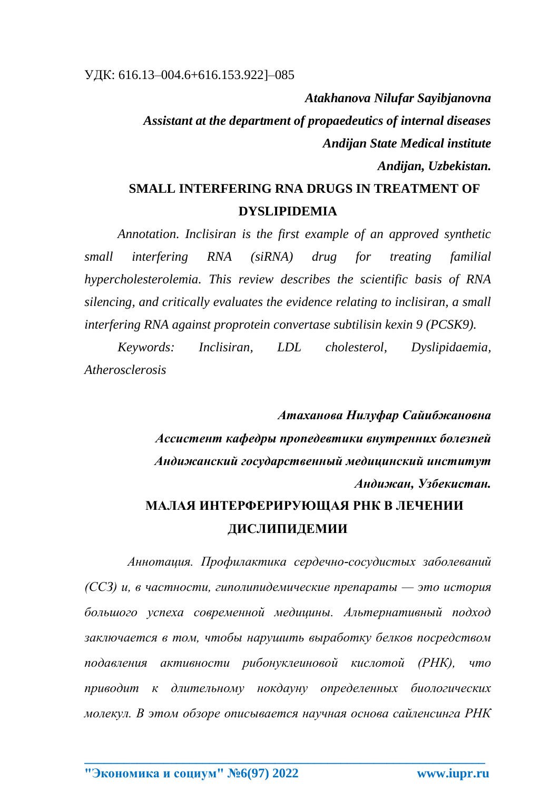Atakhanova Nilufar Sayibjanovna Assistant at the department of propaedeutics of internal diseases **Andijan State Medical institute** Andijan, Uzbekistan.

## **SMALL INTERFERING RNA DRUGS IN TREATMENT OF DYSLIPIDEMIA**

Annotation. Inclisiran is the first example of an approved synthetic small interfering **RNA**  $(siRNA)$ drug for treating familial hypercholesterolemia. This review describes the scientific basis of RNA silencing, and critically evaluates the evidence relating to inclisiran, a small interfering RNA against proprotein convertase subtilisin kexin 9 (PCSK9).

Keywords: *Inclisiran.* LDL *cholesterol.* Dyslipidaemia, Atherosclerosis

> Атаханова Нилуфар Сайибжановна Ассистент кафедры пропедевтики внутренних болезней Андижанский государственный медицинский институт Андижан, Узбекистан.

## МАЛАЯ ИНТЕРФЕРИРУЮЩАЯ РНК В ЛЕЧЕНИИ ДИСЛИПИДЕМИИ

Аннотация. Профилактика сердечно-сосудистых заболеваний (CC3) и, в частности, гиполипидемические препараты — это история большого успеха современной медицины. Альтернативный подход заключается в том, чтобы нарушить выработку белков посредством подавления активности рибонуклеиновой кислотой (РНК),  $\mu$ mo приводит к длительному нокдауну определенных биологических молекул. В этом обзоре описывается научная основа сайленсинга РНК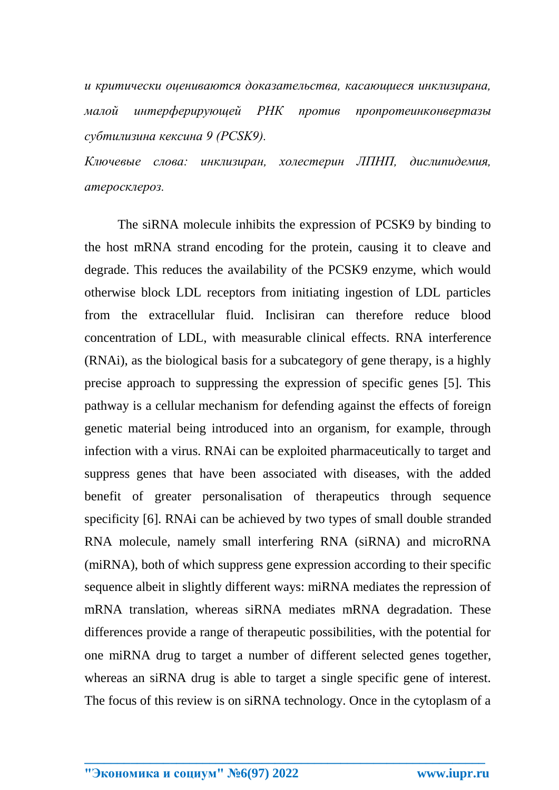*и критически оцениваются доказательства, касающиеся инклизирана, малой интерферирующей РНК против пропротеинконвертазы субтилизина кексина 9 (PCSK9).*

*Ключевые слова: инклизиран, холестерин ЛПНП, дислипидемия, атеросклероз.*

The siRNA molecule inhibits the expression of PCSK9 by binding to the host mRNA strand encoding for the protein, causing it to cleave and degrade. This reduces the availability of the PCSK9 enzyme, which would otherwise block LDL receptors from initiating ingestion of LDL particles from the extracellular fluid. Inclisiran can therefore reduce blood concentration of LDL, with measurable clinical effects. RNA interference (RNAi), as the biological basis for a subcategory of gene therapy, is a highly precise approach to suppressing the expression of specific genes [5]. This pathway is a cellular mechanism for defending against the effects of foreign genetic material being introduced into an organism, for example, through infection with a virus. RNAi can be exploited pharmaceutically to target and suppress genes that have been associated with diseases, with the added benefit of greater personalisation of therapeutics through sequence specificity [6]. RNAi can be achieved by two types of small double stranded RNA molecule, namely small interfering RNA (siRNA) and microRNA (miRNA), both of which suppress gene expression according to their specific sequence albeit in slightly different ways: miRNA mediates the repression of mRNA translation, whereas siRNA mediates mRNA degradation. These differences provide a range of therapeutic possibilities, with the potential for one miRNA drug to target a number of different selected genes together, whereas an siRNA drug is able to target a single specific gene of interest. The focus of this review is on siRNA technology. Once in the cytoplasm of a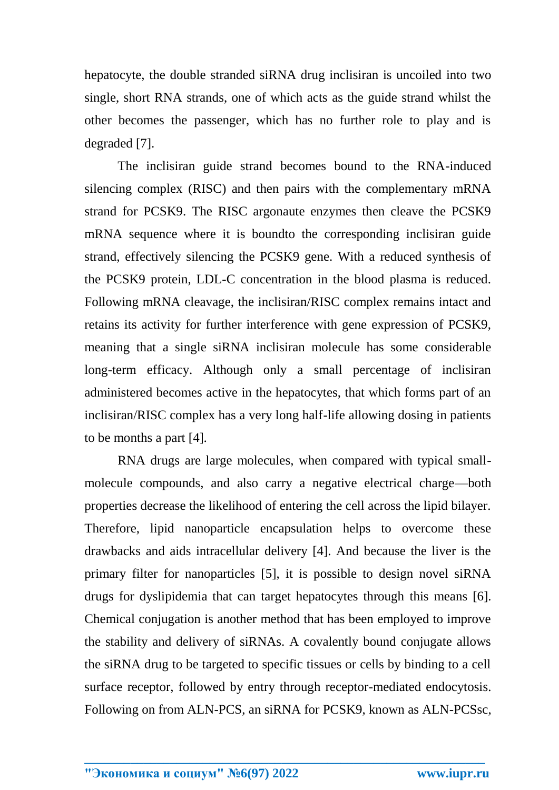hepatocyte, the double stranded siRNA drug inclisiran is uncoiled into two single, short RNA strands, one of which acts as the guide strand whilst the other becomes the passenger, which has no further role to play and is degraded [7].

The inclisiran guide strand becomes bound to the RNA-induced silencing complex (RISC) and then pairs with the complementary mRNA strand for PCSK9. The RISC argonaute enzymes then cleave the PCSK9 mRNA sequence where it is boundto the corresponding inclisiran guide strand, effectively silencing the PCSK9 gene. With a reduced synthesis of the PCSK9 protein, LDL-C concentration in the blood plasma is reduced. Following mRNA cleavage, the inclisiran/RISC complex remains intact and retains its activity for further interference with gene expression of PCSK9, meaning that a single siRNA inclisiran molecule has some considerable long-term efficacy. Although only a small percentage of inclisiran administered becomes active in the hepatocytes, that which forms part of an inclisiran/RISC complex has a very long half-life allowing dosing in patients to be months a part [4].

RNA drugs are large molecules, when compared with typical smallmolecule compounds, and also carry a negative electrical charge—both properties decrease the likelihood of entering the cell across the lipid bilayer. Therefore, lipid nanoparticle encapsulation helps to overcome these drawbacks and aids intracellular delivery [4]. And because the liver is the primary filter for nanoparticles [5], it is possible to design novel siRNA drugs for dyslipidemia that can target hepatocytes through this means [6]. Chemical conjugation is another method that has been employed to improve the stability and delivery of siRNAs. A covalently bound conjugate allows the siRNA drug to be targeted to specific tissues or cells by binding to a cell surface receptor, followed by entry through receptor-mediated endocytosis. Following on from ALN-PCS, an siRNA for PCSK9, known as ALN-PCSsc,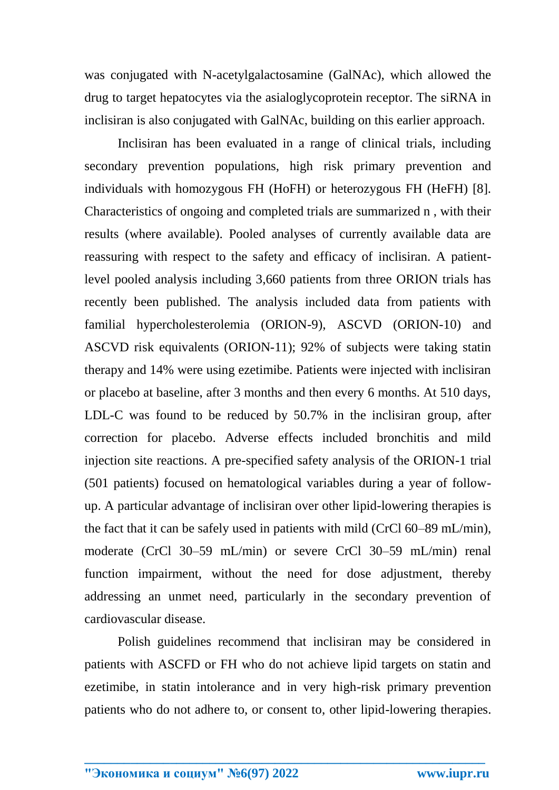was conjugated with N-acetylgalactosamine (GalNAc), which allowed the drug to target hepatocytes via the asialoglycoprotein receptor. The siRNA in inclisiran is also conjugated with GalNAc, building on this earlier approach.

Inclisiran has been evaluated in a range of clinical trials, including secondary prevention populations, high risk primary prevention and individuals with homozygous FH (HoFH) or heterozygous FH (HeFH) [8]. Characteristics of ongoing and completed trials are summarized n , with their results (where available). Pooled analyses of currently available data are reassuring with respect to the safety and efficacy of inclisiran. A patientlevel pooled analysis including 3,660 patients from three ORION trials has recently been published. The analysis included data from patients with familial hypercholesterolemia (ORION-9), ASCVD (ORION-10) and ASCVD risk equivalents (ORION-11); 92% of subjects were taking statin therapy and 14% were using ezetimibe. Patients were injected with inclisiran or placebo at baseline, after 3 months and then every 6 months. At 510 days, LDL-C was found to be reduced by 50.7% in the inclisiran group, after correction for placebo. Adverse effects included bronchitis and mild injection site reactions. A pre-specified safety analysis of the ORION-1 trial (501 patients) focused on hematological variables during a year of followup. A particular advantage of inclisiran over other lipid-lowering therapies is the fact that it can be safely used in patients with mild (CrCl 60–89 mL/min), moderate (CrCl 30–59 mL/min) or severe CrCl 30–59 mL/min) renal function impairment, without the need for dose adjustment, thereby addressing an unmet need, particularly in the secondary prevention of cardiovascular disease.

Polish guidelines recommend that inclisiran may be considered in patients with ASCFD or FH who do not achieve lipid targets on statin and ezetimibe, in statin intolerance and in very high-risk primary prevention patients who do not adhere to, or consent to, other lipid-lowering therapies.